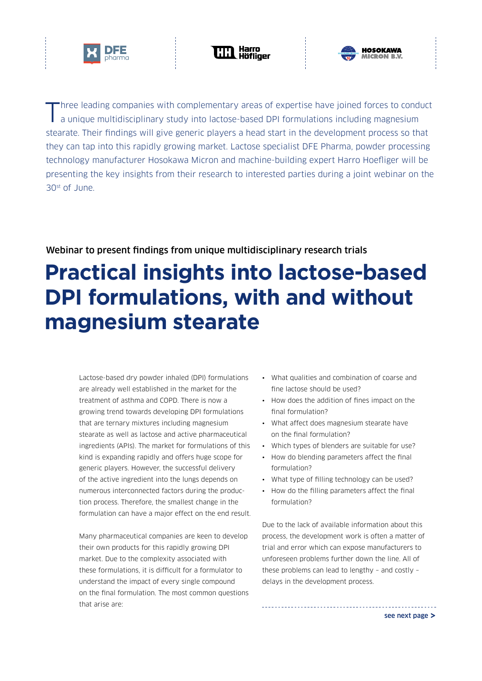





Three leading companies with complementary areas of expertise have joined forces to conduct a unique multidisciplinary study into lactose-based DPI formulations including magnesium stearate. Their findings will give generic players a head start in the development process so that they can tap into this rapidly growing market. Lactose specialist DFE Pharma, powder processing technology manufacturer Hosokawa Micron and machine-building expert Harro Hoefliger will be presenting the key insights from their research to interested parties during a joint webinar on the 30st of June.

## Webinar to present findings from unique multidisciplinary research trials

## **Practical insights into lactose-based DPI formulations, with and without magnesium stearate**

Lactose-based dry powder inhaled (DPI) formulations are already well established in the market for the treatment of asthma and COPD. There is now a growing trend towards developing DPI formulations that are ternary mixtures including magnesium stearate as well as lactose and active pharmaceutical ingredients (APIs). The market for formulations of this kind is expanding rapidly and offers huge scope for generic players. However, the successful delivery of the active ingredient into the lungs depends on numerous interconnected factors during the production process. Therefore, the smallest change in the formulation can have a major effect on the end result.

Many pharmaceutical companies are keen to develop their own products for this rapidly growing DPI market. Due to the complexity associated with these formulations, it is difficult for a formulator to understand the impact of every single compound on the final formulation. The most common questions that arise are:

- What qualities and combination of coarse and fine lactose should be used?
- How does the addition of fines impact on the final formulation?
- What affect does magnesium stearate have on the final formulation?
- Which types of blenders are suitable for use?
- How do blending parameters affect the final formulation?
- What type of filling technology can be used?
- How do the filling parameters affect the final formulation?

Due to the lack of available information about this process, the development work is often a matter of trial and error which can expose manufacturers to unforeseen problems further down the line. All of these problems can lead to lengthy – and costly – delays in the development process.

[see next page >](#page-1-0)